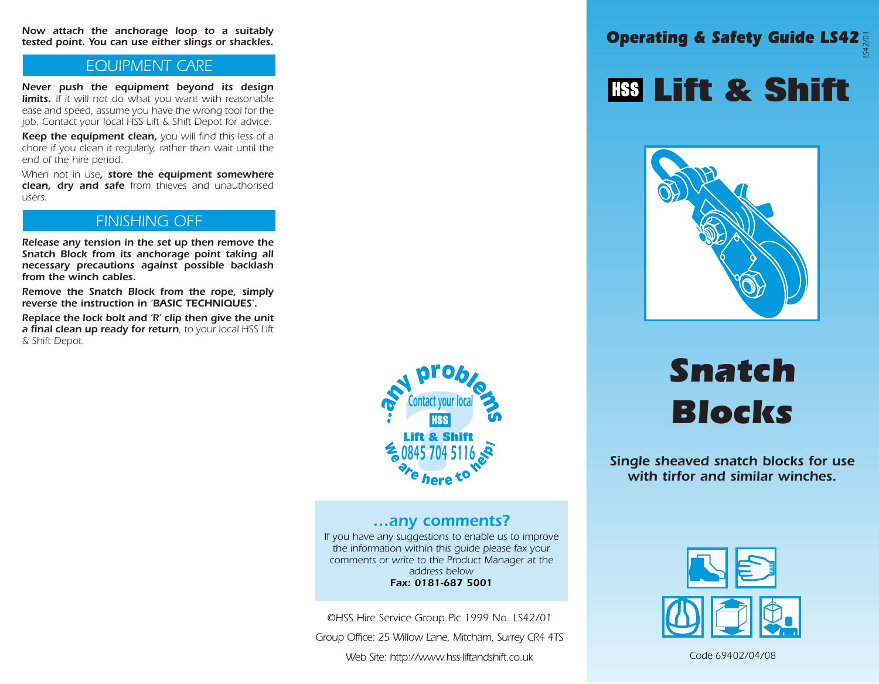Operating & Safety Guide LS42 Now attach the anchorage loop to a suitably LS42/01tested point. You can use either slings or shackles.

#### EQUIPMENT CARE

Never push the equipment beyond its design limits. If it will not do what you want with reasonable ease and speed, assume you have the wrong tool for the job. Contact your local HSS Lift & Shift Depot for advice.

Keep the equipment clean, you will find this less of a chore if you clean it regularly, rather than wait until the end of the hire period.

When not in use, store the equipment somewhere clean, dry and safe from thieves and unauthorised users.

#### FINISHING OFF

Release any tension in the set up then remove the Snatch Block from its anchorage point taking all necessary precautions against possible backlash from the winch cables.

Remove the Snatch Block from the rope, simply reverse the instruction in 'BASIC TECHNIQUES'.

Replace the lock bolt and 'R' clip then give the unit a final clean up ready for return, to your local HSS Lift & Shift Depot.



#### …any comments?

If you have any suggestions to enable us to improve the information within this guide please fax your comments or write to the Product Manager at the address below Fax: 0181-687 5001

©HSS Hire Service Group Plc 1999 No. LS42/01

Group Office: 25 Willow Lane, Mitcham, Surrey CR4 4TS

Web Site: http://www.hss-liftandshift.co.uk

## **Lift & Shift**



# Snatch Blocks

Single sheaved snatch blocks for use with tirfor and similar winches.



Code 69402/04/08